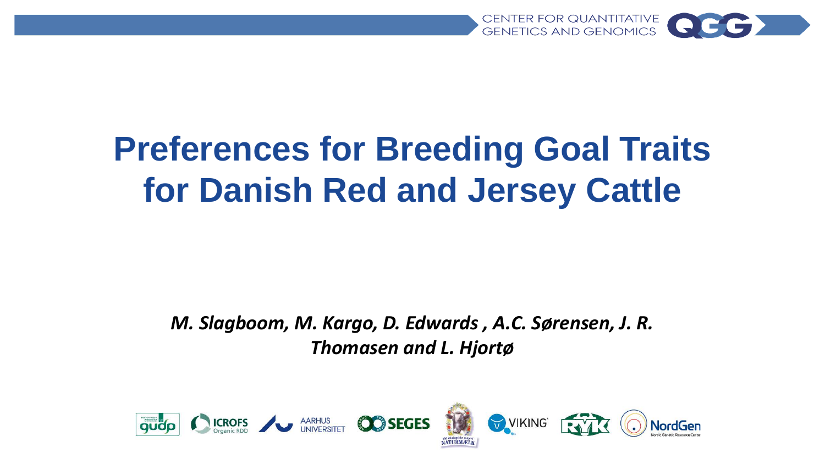

# **Preferences for Breeding Goal Traits for Danish Red and Jersey Cattle**

*M. Slagboom, M. Kargo, D. Edwards , A.C. Sørensen, J. R. Thomasen and L. Hjortø* 

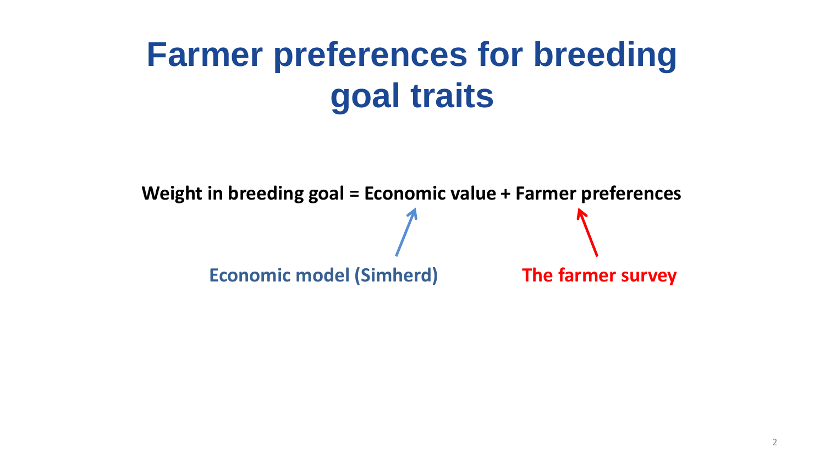# **Farmer preferences for breeding goal traits**

**Economic model (Simherd) The farmer survey Weight in breeding goal = Economic value + Farmer preferences**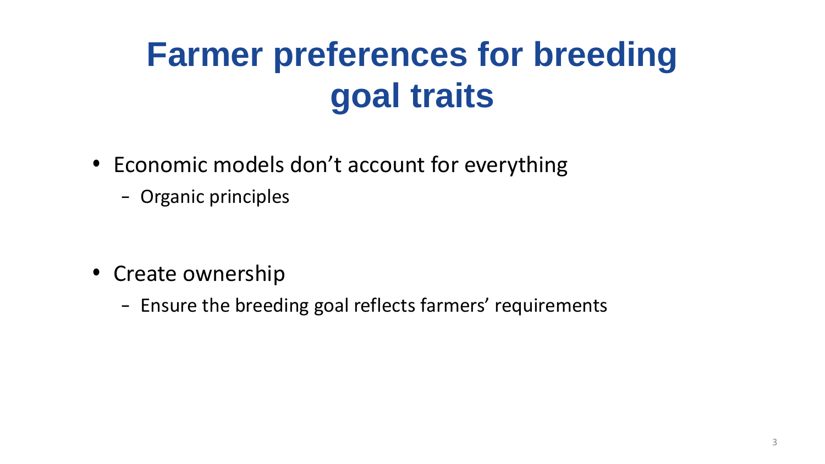# **Farmer preferences for breeding goal traits**

- Economic models don't account for everything
	- Organic principles

- Create ownership
	- Ensure the breeding goal reflects farmers' requirements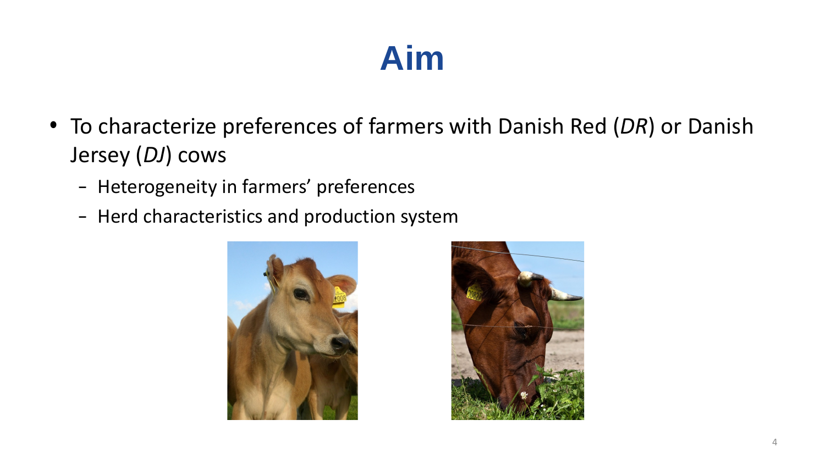## **Aim**

- To characterize preferences of farmers with Danish Red (*DR*) or Danish Jersey (*DJ*) cows
	- Heterogeneity in farmers' preferences
	- Herd characteristics and production system



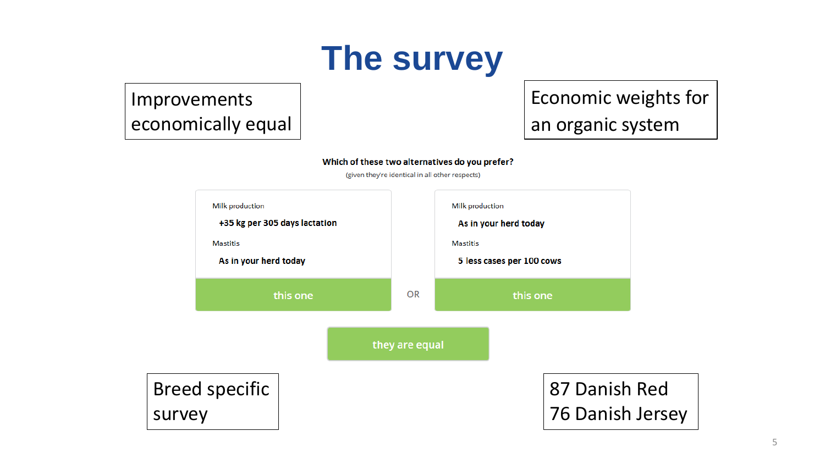

### Improvements economically equal

### Economic weights for an organic system

#### Which of these two alternatives do you prefer?

(given they're identical in all other respects)

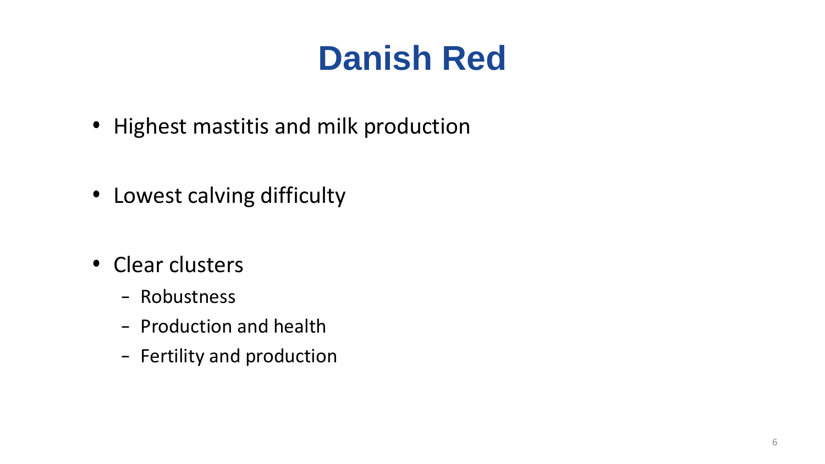# **Danish Red**

- Highest mastitis and milk production
- Lowest calving difficulty
- Clear clusters
	- Robustness
	- Production and health
	- Fertility and production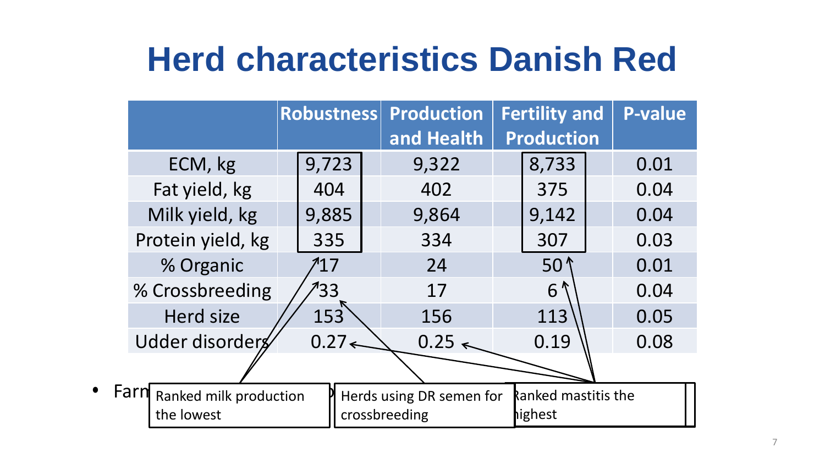## **Herd characteristics Danish Red**

|                                              | Robustness |       |                                           | <b>Production</b><br>and Health | <b>Fertility and</b><br><b>Production</b> |                                       | <b>P-value</b> |      |
|----------------------------------------------|------------|-------|-------------------------------------------|---------------------------------|-------------------------------------------|---------------------------------------|----------------|------|
| ECM, kg                                      |            | 9,723 |                                           | 9,322                           |                                           | 8,733                                 |                | 0.01 |
| Fat yield, kg                                |            | 404   |                                           | 402                             |                                           | 375                                   |                | 0.04 |
| Milk yield, kg                               |            | 9,885 |                                           | 9,864                           |                                           | 9,142                                 |                | 0.04 |
| Protein yield, kg                            |            | 335   |                                           | 334                             |                                           | 307                                   |                | 0.03 |
| % Organic                                    |            | 717   |                                           | 24                              |                                           | 50 <sup>1</sup>                       |                | 0.01 |
| % Crossbreeding                              |            | 133   |                                           | 17                              |                                           | $6^{\prime\prime}$                    |                | 0.04 |
| <b>Herd size</b>                             |            | 153   |                                           | 156                             |                                           | 113                                   |                | 0.05 |
| Udder disorders                              |            | 0.27< |                                           | $0.25 \leq$                     |                                           | 0.19                                  |                | 0.08 |
|                                              |            |       |                                           |                                 |                                           |                                       |                |      |
| Farn<br>Ranked milk production<br>the lowest |            |       | Herds using DR semen for<br>crossbreeding |                                 |                                           | <b>Ranked mastitis the</b><br>highest |                |      |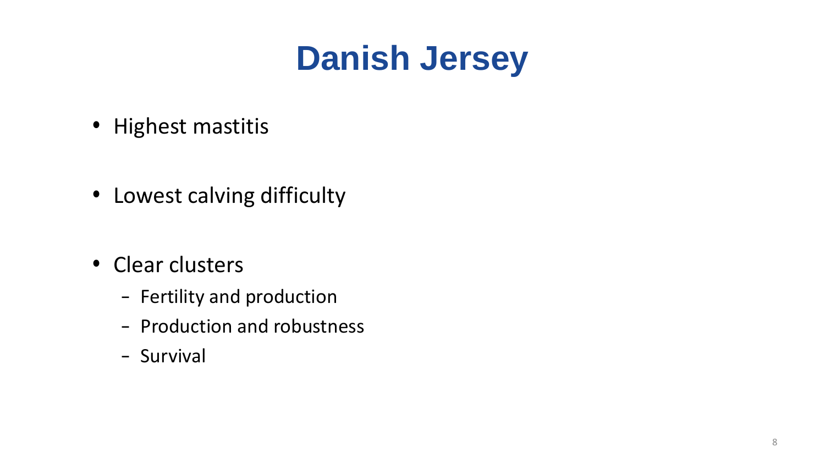# **Danish Jersey**

- Highest mastitis
- Lowest calving difficulty
- Clear clusters
	- Fertility and production
	- Production and robustness
	- Survival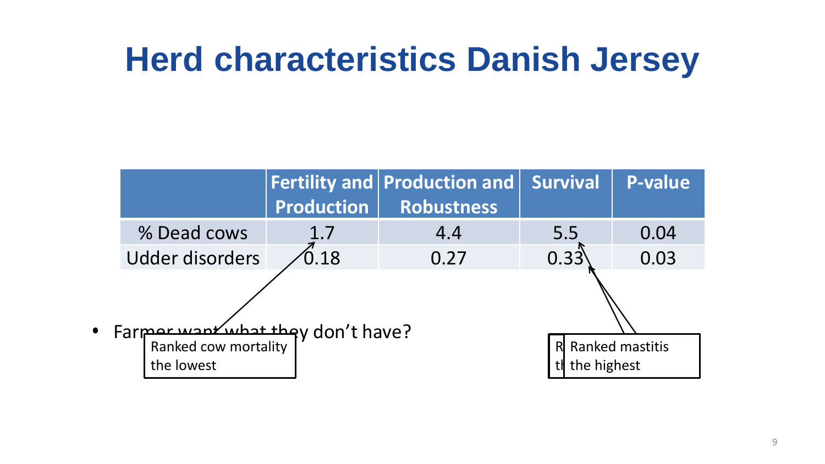### **Herd characteristics Danish Jersey**

|           |                                                 | <b>Production</b> | Fertility and Production and Survival<br><b>Robustness</b> |      | <b>P-value</b>                   |  |  |
|-----------|-------------------------------------------------|-------------------|------------------------------------------------------------|------|----------------------------------|--|--|
|           | % Dead cows                                     | 1.7               | 4.4                                                        | 5.5  | 0.04                             |  |  |
|           | <b>Udder disorders</b>                          | $\overline{0.18}$ | 0.27                                                       | 0.33 | 0.03                             |  |  |
| $\bullet$ |                                                 |                   |                                                            |      |                                  |  |  |
|           | Farmor want what they don't have?<br>the lowest |                   |                                                            |      | R Ranked mastitis<br>the highest |  |  |